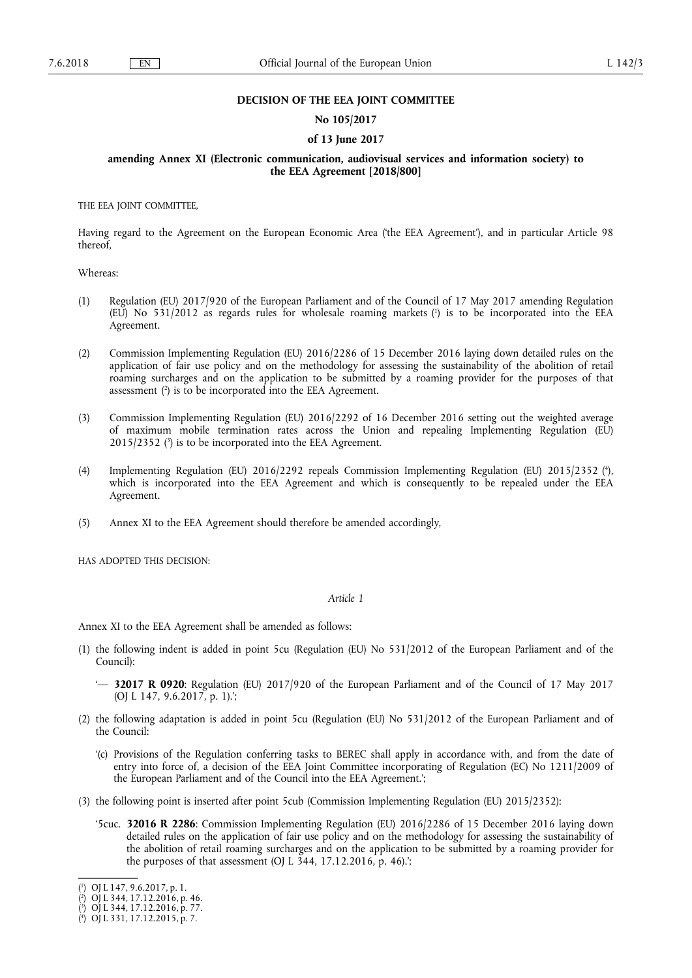## **DECISION OF THE EEA JOINT COMMITTEE**

## **No 105/2017**

## **of 13 June 2017**

# **amending Annex XI (Electronic communication, audiovisual services and information society) to the EEA Agreement [2018/800]**

THE EEA JOINT COMMITTEE,

Having regard to the Agreement on the European Economic Area ('the EEA Agreement'), and in particular Article 98 thereof,

Whereas:

- (1) Regulation (EU) 2017/920 of the European Parliament and of the Council of 17 May 2017 amending Regulation (EU) No 531/2012 as regards rules for wholesale roaming markets ( 1 ) is to be incorporated into the EEA Agreement.
- (2) Commission Implementing Regulation (EU) 2016/2286 of 15 December 2016 laying down detailed rules on the application of fair use policy and on the methodology for assessing the sustainability of the abolition of retail roaming surcharges and on the application to be submitted by a roaming provider for the purposes of that assessment ( 2 ) is to be incorporated into the EEA Agreement.
- (3) Commission Implementing Regulation (EU) 2016/2292 of 16 December 2016 setting out the weighted average of maximum mobile termination rates across the Union and repealing Implementing Regulation (EU) 2015/2352 ( 3 ) is to be incorporated into the EEA Agreement.
- (4) Implementing Regulation (EU) 2016/2292 repeals Commission Implementing Regulation (EU) 2015/2352 ( 4 ), which is incorporated into the EEA Agreement and which is consequently to be repealed under the EEA Agreement.
- (5) Annex XI to the EEA Agreement should therefore be amended accordingly,

HAS ADOPTED THIS DECISION:

#### *Article 1*

Annex XI to the EEA Agreement shall be amended as follows:

- (1) the following indent is added in point 5cu (Regulation (EU) No 531/2012 of the European Parliament and of the Council):
	- '— **32017 R 0920**: Regulation (EU) 2017/920 of the European Parliament and of the Council of 17 May 2017 (OJ L 147, 9.6.2017, p. 1).';
- (2) the following adaptation is added in point 5cu (Regulation (EU) No 531/2012 of the European Parliament and of the Council:
	- '(c) Provisions of the Regulation conferring tasks to BEREC shall apply in accordance with, and from the date of entry into force of, a decision of the EEA Joint Committee incorporating of Regulation (EC) No 1211/2009 of the European Parliament and of the Council into the EEA Agreement.';
- (3) the following point is inserted after point 5cub (Commission Implementing Regulation (EU) 2015/2352):
	- '5cuc. **32016 R 2286**: Commission Implementing Regulation (EU) 2016/2286 of 15 December 2016 laying down detailed rules on the application of fair use policy and on the methodology for assessing the sustainability of the abolition of retail roaming surcharges and on the application to be submitted by a roaming provider for the purposes of that assessment (OJ L  $344$ , 17.12.2016, p. 46).';

<sup>(</sup> 1 ) OJ L 147, 9.6.2017, p. 1.

<sup>(</sup> 2 ) OJ L 344, 17.12.2016, p. 46.

<sup>(</sup> 3 ) OJ L 344, 17.12.2016, p. 77.

<sup>(</sup> 4 ) OJ L 331, 17.12.2015, p. 7.